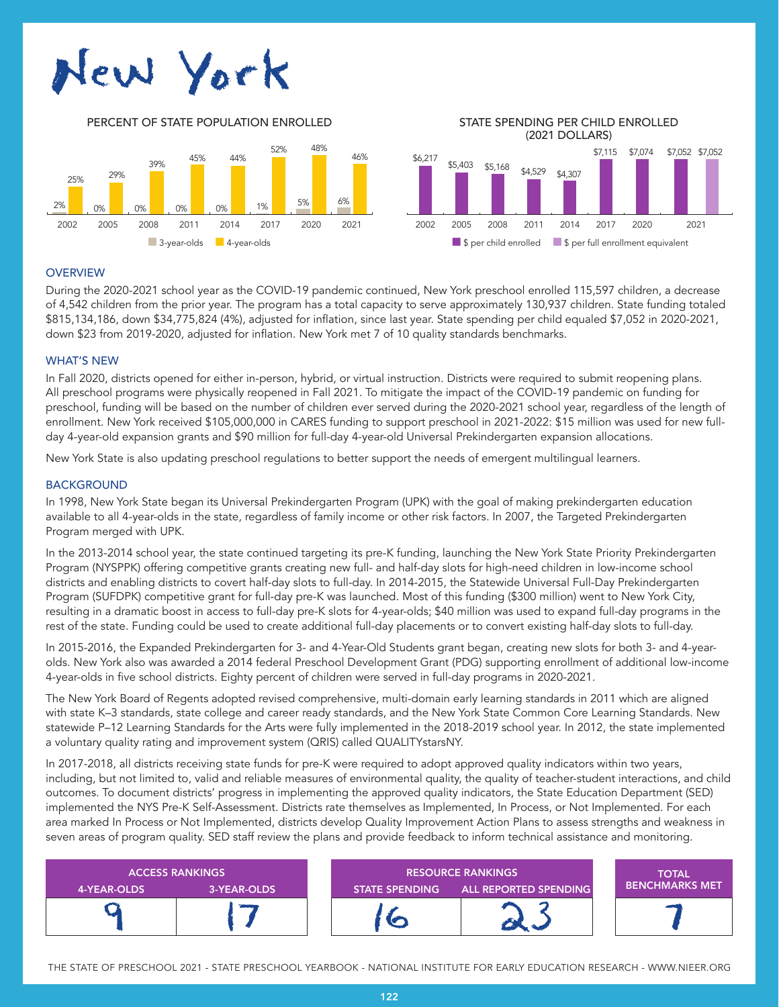# New York



(2021 DOLLARS)



## **OVERVIEW**

During the 2020-2021 school year as the COVID-19 pandemic continued, New York preschool enrolled 115,597 children, a decrease of 4,542 children from the prior year. The program has a total capacity to serve approximately 130,937 children. State funding totaled \$815,134,186, down \$34,775,824 (4%), adjusted for inflation, since last year. State spending per child equaled \$7,052 in 2020-2021, down \$23 from 2019-2020, adjusted for inflation. New York met 7 of 10 quality standards benchmarks.

## WHAT'S NEW

In Fall 2020, districts opened for either in-person, hybrid, or virtual instruction. Districts were required to submit reopening plans. All preschool programs were physically reopened in Fall 2021. To mitigate the impact of the COVID-19 pandemic on funding for preschool, funding will be based on the number of children ever served during the 2020-2021 school year, regardless of the length of enrollment. New York received \$105,000,000 in CARES funding to support preschool in 2021-2022: \$15 million was used for new fullday 4-year-old expansion grants and \$90 million for full-day 4-year-old Universal Prekindergarten expansion allocations.

New York State is also updating preschool regulations to better support the needs of emergent multilingual learners.

## BACKGROUND

In 1998, New York State began its Universal Prekindergarten Program (UPK) with the goal of making prekindergarten education available to all 4-year-olds in the state, regardless of family income or other risk factors. In 2007, the Targeted Prekindergarten Program merged with UPK.

In the 2013-2014 school year, the state continued targeting its pre-K funding, launching the New York State Priority Prekindergarten Program (NYSPPK) offering competitive grants creating new full- and half-day slots for high-need children in low-income school districts and enabling districts to covert half-day slots to full-day. In 2014-2015, the Statewide Universal Full-Day Prekindergarten Program (SUFDPK) competitive grant for full-day pre-K was launched. Most of this funding (\$300 million) went to New York City, resulting in a dramatic boost in access to full-day pre-K slots for 4-year-olds; \$40 million was used to expand full-day programs in the rest of the state. Funding could be used to create additional full-day placements or to convert existing half-day slots to full-day.

In 2015-2016, the Expanded Prekindergarten for 3- and 4-Year-Old Students grant began, creating new slots for both 3- and 4-yearolds. New York also was awarded a 2014 federal Preschool Development Grant (PDG) supporting enrollment of additional low-income 4-year-olds in five school districts. Eighty percent of children were served in full-day programs in 2020-2021.

The New York Board of Regents adopted revised comprehensive, multi-domain early learning standards in 2011 which are aligned with state K–3 standards, state college and career ready standards, and the New York State Common Core Learning Standards. New statewide P–12 Learning Standards for the Arts were fully implemented in the 2018-2019 school year. In 2012, the state implemented a voluntary quality rating and improvement system (QRIS) called QUALITYstarsNY.

In 2017-2018, all districts receiving state funds for pre-K were required to adopt approved quality indicators within two years, including, but not limited to, valid and reliable measures of environmental quality, the quality of teacher-student interactions, and child outcomes. To document districts' progress in implementing the approved quality indicators, the State Education Department (SED) implemented the NYS Pre-K Self-Assessment. Districts rate themselves as Implemented, In Process, or Not Implemented. For each area marked In Process or Not Implemented, districts develop Quality Improvement Action Plans to assess strengths and weakness in seven areas of program quality. SED staff review the plans and provide feedback to inform technical assistance and monitoring.

| <b>ACCESS RANKINGS</b> |               | <b>RESOURCE RANKINGS</b> |                                      | <b>TOTAL</b>          |
|------------------------|---------------|--------------------------|--------------------------------------|-----------------------|
| 4-YEAR-OLDS            | 3-YEAR-OLDS   |                          | STATE SPENDING ALL REPORTED SPENDING | <b>BENCHMARKS MET</b> |
|                        | <b>Common</b> |                          |                                      |                       |

THE STATE OF PRESCHOOL 2021 - STATE PRESCHOOL YEARBOOK - NATIONAL INSTITUTE FOR EARLY EDUCATION RESEARCH - WWW.NIEER.ORG